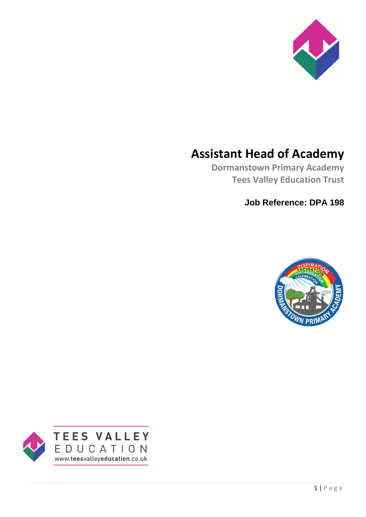

# **Assistant Head of Academy**

**Dormanstown Primary Academy Tees Valley Education Trust**

**Job Reference: DPA 198**



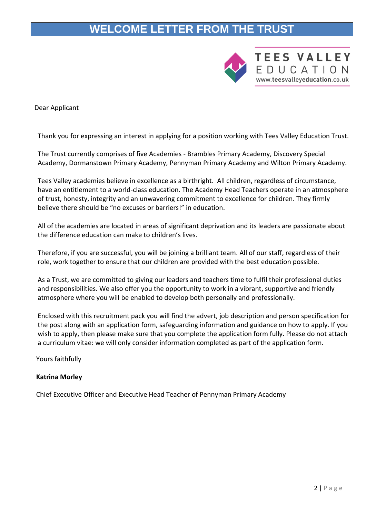# **COME LETTER FROM THE TRUST**



Dear Applicant

Thank you for expressing an interest in applying for a position working with Tees Valley Education Trust.

The Trust currently comprises of five Academies - Brambles Primary Academy, Discovery Special Academy, Dormanstown Primary Academy, Pennyman Primary Academy and Wilton Primary Academy.

Tees Valley academies believe in excellence as a birthright. All children, regardless of circumstance, have an entitlement to a world-class education. The Academy Head Teachers operate in an atmosphere of trust, honesty, integrity and an unwavering commitment to excellence for children. They firmly believe there should be "no excuses or barriers!" in education.

All of the academies are located in areas of significant deprivation and its leaders are passionate about the difference education can make to children's lives.

Therefore, if you are successful, you will be joining a brilliant team. All of our staff, regardless of their role, work together to ensure that our children are provided with the best education possible.

As a Trust, we are committed to giving our leaders and teachers time to fulfil their professional duties and responsibilities. We also offer you the opportunity to work in a vibrant, supportive and friendly atmosphere where you will be enabled to develop both personally and professionally.

Enclosed with this recruitment pack you will find the advert, job description and person specification for the post along with an application form, safeguarding information and guidance on how to apply. If you wish to apply, then please make sure that you complete the application form fully. Please do not attach a curriculum vitae: we will only consider information completed as part of the application form.

Yours faithfully

#### **Katrina Morley**

Chief Executive Officer and Executive Head Teacher of Pennyman Primary Academy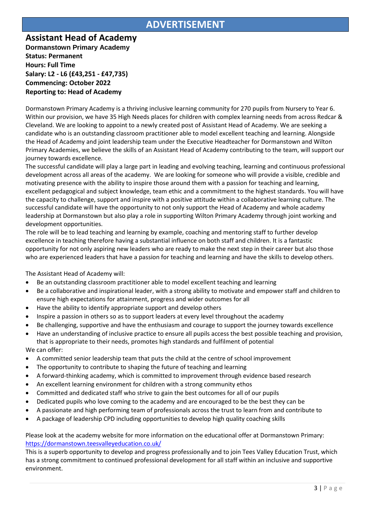# **ADVERTISEMENT**

# **Assistant Head of Academy**

**Dormanstown Primary Academy Status: Permanent Hours: Full Time Salary: L2 - L6 (£43,251 - £47,735) Commencing: October 2022 Reporting to: Head of Academy**

Dormanstown Primary Academy is a thriving inclusive learning community for 270 pupils from Nursery to Year 6. Within our provision, we have 35 High Needs places for children with complex learning needs from across Redcar & Cleveland. We are looking to appoint to a newly created post of Assistant Head of Academy. We are seeking a candidate who is an outstanding classroom practitioner able to model excellent teaching and learning. Alongside the Head of Academy and joint leadership team under the Executive Headteacher for Dormanstown and Wilton Primary Academies, we believe the skills of an Assistant Head of Academy contributing to the team, will support our journey towards excellence.

The successful candidate will play a large part in leading and evolving teaching, learning and continuous professional development across all areas of the academy. We are looking for someone who will provide a visible, credible and motivating presence with the ability to inspire those around them with a passion for teaching and learning, excellent pedagogical and subject knowledge, team ethic and a commitment to the highest standards. You will have the capacity to challenge, support and inspire with a positive attitude within a collaborative learning culture. The successful candidate will have the opportunity to not only support the Head of Academy and whole academy leadership at Dormanstown but also play a role in supporting Wilton Primary Academy through joint working and development opportunities.

The role will be to lead teaching and learning by example, coaching and mentoring staff to further develop excellence in teaching therefore having a substantial influence on both staff and children. It is a fantastic opportunity for not only aspiring new leaders who are ready to make the next step in their career but also those who are experienced leaders that have a passion for teaching and learning and have the skills to develop others.

The Assistant Head of Academy will:

- Be an outstanding classroom practitioner able to model excellent teaching and learning
- Be a collaborative and inspirational leader, with a strong ability to motivate and empower staff and children to ensure high expectations for attainment, progress and wider outcomes for all
- Have the ability to identify appropriate support and develop others
- Inspire a passion in others so as to support leaders at every level throughout the academy
- Be challenging, supportive and have the enthusiasm and courage to support the journey towards excellence
- Have an understanding of inclusive practice to ensure all pupils access the best possible teaching and provision, that is appropriate to their needs, promotes high standards and fulfilment of potential We can offer:
- 
- A committed senior leadership team that puts the child at the centre of school improvement
- The opportunity to contribute to shaping the future of teaching and learning
- A forward-thinking academy, which is committed to improvement through evidence based research
- An excellent learning environment for children with a strong community ethos
- Committed and dedicated staff who strive to gain the best outcomes for all of our pupils
- Dedicated pupils who love coming to the academy and are encouraged to be the best they can be
- A passionate and high performing team of professionals across the trust to learn from and contribute to
- A package of leadership CPD including opportunities to develop high quality coaching skills

#### Please look at the academy website for more information on the educational offer at Dormanstown Primary: <https://dormanstown.teesvalleyeducation.co.uk/>

This is a superb opportunity to develop and progress professionally and to join Tees Valley Education Trust, which has a strong commitment to continued professional development for all staff within an inclusive and supportive environment.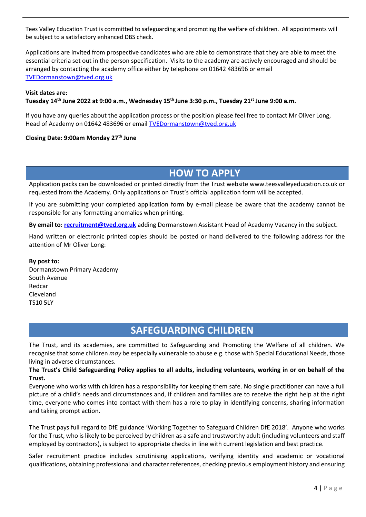Tees Valley Education Trust is committed to safeguarding and promoting the welfare of children. All appointments will be subject to a satisfactory enhanced DBS check.

Applications are invited from prospective candidates who are able to demonstrate that they are able to meet the essential criteria set out in the person specification. Visits to the academy are actively encouraged and should be arranged by contacting the academy office either by telephone on 01642 483696 or email [TVEDormanstown@tved.org.uk](mailto:TVEDormanstown@tved.org.uk)

#### **Visit dates are:**

#### **Tuesday 14th June 2022 at 9:00 a.m., Wednesday 15th June 3:30 p.m., Tuesday 21st June 9:00 a.m.**

If you have any queries about the application process or the position please feel free to contact Mr Oliver Long, Head of Academy on 01642 483696 or emai[l TVEDormanstown@tved.org.uk](mailto:TVEDormanstown@tved.org.uk)

#### **Closing Date: 9:00am Monday 27th June**

# **HOW TO APPLY**

Application packs can be downloaded or printed directly from the Trust website [www.teesvalleyeducation.co.uk](http://www.teesvalleyeducation.co.uk/) or requested from the Academy. Only applications on Trust's official application form will be accepted.

If you are submitting your completed application form by e-mail please be aware that the academy cannot be responsible for any formatting anomalies when printing.

**By email to: [recruitment@tved.org.uk](mailto:recruitment@tved.org.uk)** adding Dormanstown Assistant Head of Academy Vacancy in the subject.

Hand written or electronic printed copies should be posted or hand delivered to the following address for the attention of Mr Oliver Long:

#### **By post to:**

Dormanstown Primary Academy South Avenue Redcar Cleveland TS10 5LY

# **SAFEGUARDING CHILDREN**

The Trust, and its academies, are committed to Safeguarding and Promoting the Welfare of all children. We recognise that some children *may* be especially vulnerable to abuse e.g. those with Special Educational Needs, those living in adverse circumstances.

#### **The Trust's Child Safeguarding Policy applies to all adults, including volunteers, working in or on behalf of the Trust.**

Everyone who works with children has a responsibility for keeping them safe. No single practitioner can have a full picture of a child's needs and circumstances and, if children and families are to receive the right help at the right time, everyone who comes into contact with them has a role to play in identifying concerns, sharing information and taking prompt action.

The Trust pays full regard to DfE guidance 'Working Together to Safeguard Children DfE 2018'. Anyone who works for the Trust, who is likely to be perceived by children as a safe and trustworthy adult (including volunteers and staff employed by contractors), is subject to appropriate checks in line with current legislation and best practice.

Safer recruitment practice includes scrutinising applications, verifying identity and academic or vocational qualifications, obtaining professional and character references, checking previous employment history and ensuring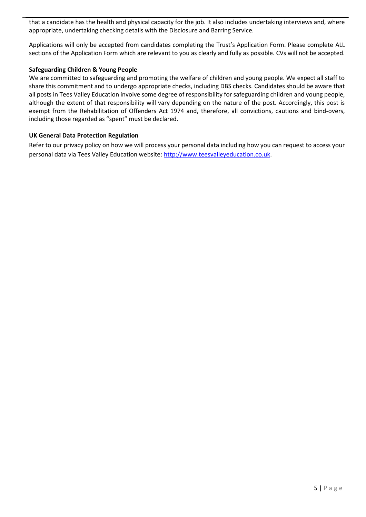that a candidate has the health and physical capacity for the job. It also includes undertaking interviews and, where appropriate, undertaking checking details with the Disclosure and Barring Service.

Applications will only be accepted from candidates completing the Trust's Application Form. Please complete ALL sections of the Application Form which are relevant to you as clearly and fully as possible. CVs will not be accepted.

#### **Safeguarding Children & Young People**

We are committed to safeguarding and promoting the welfare of children and young people. We expect all staff to share this commitment and to undergo appropriate checks, including DBS checks. Candidates should be aware that all posts in Tees Valley Education involve some degree of responsibility for safeguarding children and young people, although the extent of that responsibility will vary depending on the nature of the post. Accordingly, this post is exempt from the Rehabilitation of Offenders Act 1974 and, therefore, all convictions, cautions and bind-overs, including those regarded as "spent" must be declared.

#### **UK General Data Protection Regulation**

Refer to our privacy policy on how we will process your personal data including how you can request to access your personal data via Tees Valley Education website[: http://www.teesvalleyeducation.co.uk.](http://www.teesvalleyeducation.co.uk/)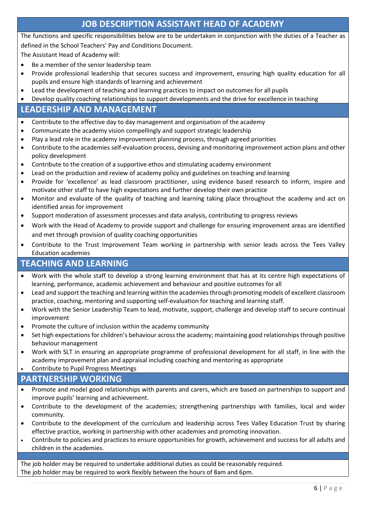# **JOB DESCRIPTION ASSISTANT HEAD OF ACADEMY**

The functions and specific responsibilities below are to be undertaken in conjunction with the duties of a Teacher as defined in the School Teachers' Pay and Conditions Document.

The Assistant Head of Academy will:

- Be a member of the senior leadership team
- Provide professional leadership that secures success and improvement, ensuring high quality education for all pupils and ensure high standards of learning and achievement
- Lead the development of teaching and learning practices to impact on outcomes for all pupils
- Develop quality coaching relationships to support developments and the drive for excellence in teaching

### **LEADERSHIP AND MANAGEMENT**

- Contribute to the effective day to day management and organisation of the academy
- Communicate the academy vision compellingly and support strategic leadership
- Play a lead role in the academy improvement planning process, through agreed priorities
- Contribute to the academies self-evaluation process, devising and monitoring improvement action plans and other policy development
- Contribute to the creation of a supportive ethos and stimulating academy environment
- Lead on the production and review of academy policy and guidelines on teaching and learning
- Provide for 'excellence' as lead classroom practitioner, using evidence based research to inform, inspire and motivate other staff to have high expectations and further develop their own practice
- Monitor and evaluate of the quality of teaching and learning taking place throughout the academy and act on identified areas for improvement
- Support moderation of assessment processes and data analysis, contributing to progress reviews
- Work with the Head of Academy to provide support and challenge for ensuring improvement areas are identified and met through provision of quality coaching opportunities
- Contribute to the Trust Improvement Team working in partnership with senior leads across the Tees Valley Education academies

### **TEACHING AND LEARNING**

- Work with the whole staff to develop a strong learning environment that has at its centre high expectations of learning, performance, academic achievement and behaviour and positive outcomes for all
- Lead and support the teaching and learning within the academies through promoting models of excellent classroom practice, coaching, mentoring and supporting self-evaluation for teaching and learning staff.
- Work with the Senior Leadership Team to lead, motivate, support, challenge and develop staff to secure continual improvement
- Promote the culture of inclusion within the academy community
- Set high expectations for children's behaviour across the academy; maintaining good relationships through positive behaviour management
- Work with SLT in ensuring an appropriate programme of professional development for all staff, in line with the academy improvement plan and appraisal including coaching and mentoring as appropriate
- Contribute to Pupil Progress Meetings

#### **PARTNERSHIP WORKING**

- Promote and model good relationships with parents and carers, which are based on partnerships to support and improve pupils' learning and achievement.
- Contribute to the development of the academies; strengthening partnerships with families, local and wider community.
- Contribute to the development of the curriculum and leadership across Tees Valley Education Trust by sharing effective practice, working in partnership with other academies and promoting innovation.
- Contribute to policies and practices to ensure opportunities for growth, achievement and success for all adults and children in the academies.

The job holder may be required to undertake additional duties as could be reasonably required. The job holder may be required to work flexibly between the hours of 8am and 6pm.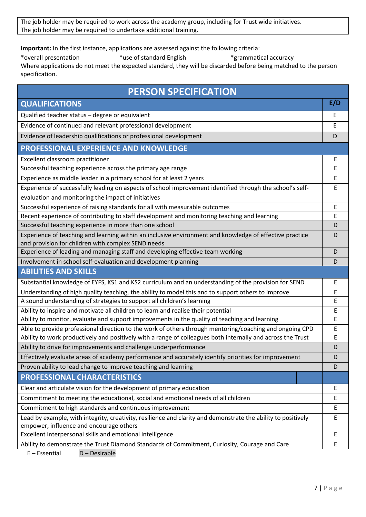The job holder may be required to work across the academy group, including for Trust wide initiatives. The job holder may be required to undertake additional training.

**Important:** In the first instance, applications are assessed against the following criteria:

\*overall presentation \*use of standard English \*grammatical accuracy

Where applications do not meet the expected standard, they will be discarded before being matched to the person specification.

| <b>PERSON SPECIFICATION</b>                                                                                   |     |
|---------------------------------------------------------------------------------------------------------------|-----|
| <b>QUALIFICATIONS</b>                                                                                         | E/D |
| Qualified teacher status - degree or equivalent                                                               | E   |
| Evidence of continued and relevant professional development                                                   | E   |
| Evidence of leadership qualifications or professional development                                             | D   |
| PROFESSIONAL EXPERIENCE AND KNOWLEDGE                                                                         |     |
| Excellent classroom practitioner                                                                              | Ε   |
| Successful teaching experience across the primary age range                                                   | E   |
| Experience as middle leader in a primary school for at least 2 years                                          | E   |
| Experience of successfully leading on aspects of school improvement identified through the school's self-     | E   |
| evaluation and monitoring the impact of initiatives                                                           |     |
| Successful experience of raising standards for all with measurable outcomes                                   | Ε   |
| Recent experience of contributing to staff development and monitoring teaching and learning                   | E   |
| Successful teaching experience in more than one school                                                        | D   |
| Experience of teaching and learning within an inclusive environment and knowledge of effective practice       | D   |
| and provision for children with complex SEND needs                                                            |     |
| Experience of leading and managing staff and developing effective team working                                | D   |
| Involvement in school self-evaluation and development planning                                                | D   |
| <b>ABILITIES AND SKILLS</b>                                                                                   |     |
| Substantial knowledge of EYFS, KS1 and KS2 curriculum and an understanding of the provision for SEND          | E   |
| Understanding of high quality teaching, the ability to model this and to support others to improve            | E   |
| A sound understanding of strategies to support all children's learning                                        | E   |
| Ability to inspire and motivate all children to learn and realise their potential                             | E   |
| Ability to monitor, evaluate and support improvements in the quality of teaching and learning                 | E   |
| Able to provide professional direction to the work of others through mentoring/coaching and ongoing CPD       | E   |
| Ability to work productively and positively with a range of colleagues both internally and across the Trust   | E   |
| Ability to drive for improvements and challenge underperformance                                              | D   |
| Effectively evaluate areas of academy performance and accurately identify priorities for improvement          | D   |
| Proven ability to lead change to improve teaching and learning                                                | D   |
| <b>PROFESSIONAL CHARACTERISTICS</b>                                                                           |     |
| Clear and articulate vision for the development of primary education                                          | Ε   |
| Commitment to meeting the educational, social and emotional needs of all children                             | Ε   |
| Commitment to high standards and continuous improvement                                                       | Ε   |
| Lead by example, with integrity, creativity, resilience and clarity and demonstrate the ability to positively | E   |
| empower, influence and encourage others                                                                       |     |
| Excellent interpersonal skills and emotional intelligence                                                     | E   |
| Ability to demonstrate the Trust Diamond Standards of Commitment, Curiosity, Courage and Care                 | E   |

E – Essential D – Desirable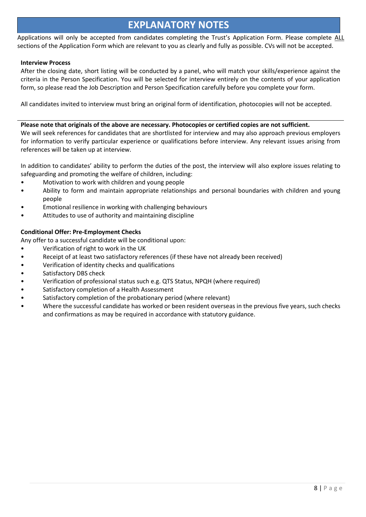# **EXPLANATORY NOTES**

Applications will only be accepted from candidates completing the Trust's Application Form. Please complete ALL sections of the Application Form which are relevant to you as clearly and fully as possible. CVs will not be accepted.

#### **Interview Process**

After the closing date, short listing will be conducted by a panel, who will match your skills/experience against the criteria in the Person Specification. You will be selected for interview entirely on the contents of your application form, so please read the Job Description and Person Specification carefully before you complete your form.

All candidates invited to interview must bring an original form of identification, photocopies will not be accepted.

#### **Please note that originals of the above are necessary. Photocopies or certified copies are not sufficient.**

We will seek references for candidates that are shortlisted for interview and may also approach previous employers for information to verify particular experience or qualifications before interview. Any relevant issues arising from references will be taken up at interview.

In addition to candidates' ability to perform the duties of the post, the interview will also explore issues relating to safeguarding and promoting the welfare of children, including:

- Motivation to work with children and young people
- Ability to form and maintain appropriate relationships and personal boundaries with children and young people
- Emotional resilience in working with challenging behaviours
- Attitudes to use of authority and maintaining discipline

#### **Conditional Offer: Pre-Employment Checks**

Any offer to a successful candidate will be conditional upon:

- Verification of right to work in the UK
- Receipt of at least two satisfactory references (if these have not already been received)
- Verification of identity checks and qualifications
- Satisfactory DBS check
- Verification of professional status such e.g. QTS Status, NPQH (where required)
- Satisfactory completion of a Health Assessment
- Satisfactory completion of the probationary period (where relevant)
- Where the successful candidate has worked or been resident overseas in the previous five years, such checks and confirmations as may be required in accordance with statutory guidance.